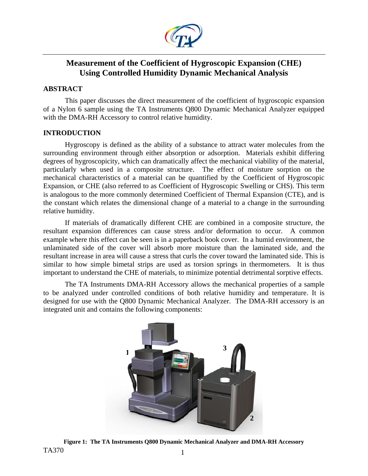

# **Measurement of the Coefficient of Hygroscopic Expansion (CHE) Using Controlled Humidity Dynamic Mechanical Analysis**

## **ABSTRACT**

This paper discusses the direct measurement of the coefficient of hygroscopic expansion of a Nylon 6 sample using the TA Instruments Q800 Dynamic Mechanical Analyzer equipped with the DMA-RH Accessory to control relative humidity.

## **INTRODUCTION**

Hygroscopy is defined as the ability of a substance to attract water molecules from the surrounding environment through either absorption or adsorption. Materials exhibit differing degrees of hygroscopicity, which can dramatically affect the mechanical viability of the material, particularly when used in a composite structure. The effect of moisture sorption on the mechanical characteristics of a material can be quantified by the Coefficient of Hygroscopic Expansion, or CHE (also referred to as Coefficient of Hygroscopic Swelling or CHS). This term is analogous to the more commonly determined Coefficient of Thermal Expansion (CTE), and is the constant which relates the dimensional change of a material to a change in the surrounding relative humidity.

If materials of dramatically different CHE are combined in a composite structure, the resultant expansion differences can cause stress and/or deformation to occur. A common example where this effect can be seen is in a paperback book cover. In a humid environment, the unlaminated side of the cover will absorb more moisture than the laminated side, and the resultant increase in area will cause a stress that curls the cover toward the laminated side. This is similar to how simple bimetal strips are used as torsion springs in thermometers. It is thus important to understand the CHE of materials, to minimize potential detrimental sorptive effects.

The TA Instruments DMA-RH Accessory allows the mechanical properties of a sample to be analyzed under controlled conditions of both relative humidity and temperature. It is designed for use with the Q800 Dynamic Mechanical Analyzer. The DMA-RH accessory is an integrated unit and contains the following components:



TA370 1 **Figure 1: The TA Instruments Q800 Dynamic Mechanical Analyzer and DMA-RH Accessory**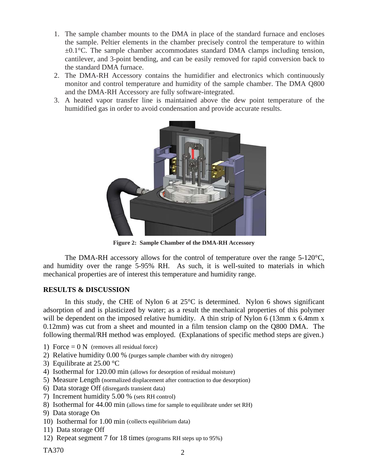- 1. The sample chamber mounts to the DMA in place of the standard furnace and encloses the sample. Peltier elements in the chamber precisely control the temperature to within  $\pm 0.1^{\circ}$ C. The sample chamber accommodates standard DMA clamps including tension, cantilever, and 3-point bending, and can be easily removed for rapid conversion back to the standard DMA furnace.
- 2. The DMA-RH Accessory contains the humidifier and electronics which continuously monitor and control temperature and humidity of the sample chamber. The DMA Q800 and the DMA-RH Accessory are fully software-integrated.
- 3. A heated vapor transfer line is maintained above the dew point temperature of the humidified gas in order to avoid condensation and provide accurate results.



**Figure 2: Sample Chamber of the DMA-RH Accessory** 

The DMA-RH accessory allows for the control of temperature over the range 5-120°C, and humidity over the range 5-95% RH. As such, it is well-suited to materials in which mechanical properties are of interest this temperature and humidity range.

## **RESULTS & DISCUSSION**

In this study, the CHE of Nylon 6 at  $25^{\circ}$ C is determined. Nylon 6 shows significant adsorption of and is plasticized by water; as a result the mechanical properties of this polymer will be dependent on the imposed relative humidity. A thin strip of Nylon 6 (13mm x 6.4mm x 0.12mm) was cut from a sheet and mounted in a film tension clamp on the Q800 DMA. The following thermal/RH method was employed. (Explanations of specific method steps are given.)

- 1) Force  $= 0 N$  (removes all residual force)
- 2) Relative humidity 0.00 % (purges sample chamber with dry nitrogen)
- 3) Equilibrate at 25.00 °C
- 4) Isothermal for 120.00 min (allows for desorption of residual moisture)
- 5) Measure Length (normalized displacement after contraction to due desorption)
- 6) Data storage Off (disregards transient data)
- 7) Increment humidity 5.00 % (sets RH control)
- 8) Isothermal for 44.00 min (allows time for sample to equilibrate under set RH)
- 9) Data storage On
- 10) Isothermal for 1.00 min (collects equilibrium data)
- 11) Data storage Off
- 12) Repeat segment 7 for 18 times (programs RH steps up to 95%)

TA370 2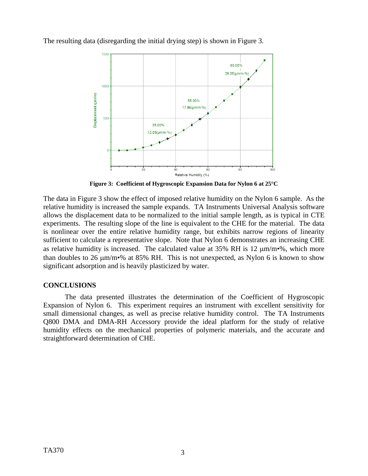

The resulting data (disregarding the initial drying step) is shown in Figure 3.

**Figure 3: Coefficient of Hygroscopic Expansion Data for Nylon 6 at 25°C** 

The data in Figure 3 show the effect of imposed relative humidity on the Nylon 6 sample. As the relative humidity is increased the sample expands. TA Instruments Universal Analysis software allows the displacement data to be normalized to the initial sample length, as is typical in CTE experiments. The resulting slope of the line is equivalent to the CHE for the material. The data is nonlinear over the entire relative humidity range, but exhibits narrow regions of linearity sufficient to calculate a representative slope. Note that Nylon 6 demonstrates an increasing CHE as relative humidity is increased. The calculated value at 35% RH is 12 μm/m•%, which more than doubles to 26 μm/m•% at 85% RH. This is not unexpected, as Nylon 6 is known to show significant adsorption and is heavily plasticized by water.

## **CONCLUSIONS**

The data presented illustrates the determination of the Coefficient of Hygroscopic Expansion of Nylon 6. This experiment requires an instrument with excellent sensitivity for small dimensional changes, as well as precise relative humidity control. The TA Instruments Q800 DMA and DMA-RH Accessory provide the ideal platform for the study of relative humidity effects on the mechanical properties of polymeric materials, and the accurate and straightforward determination of CHE.